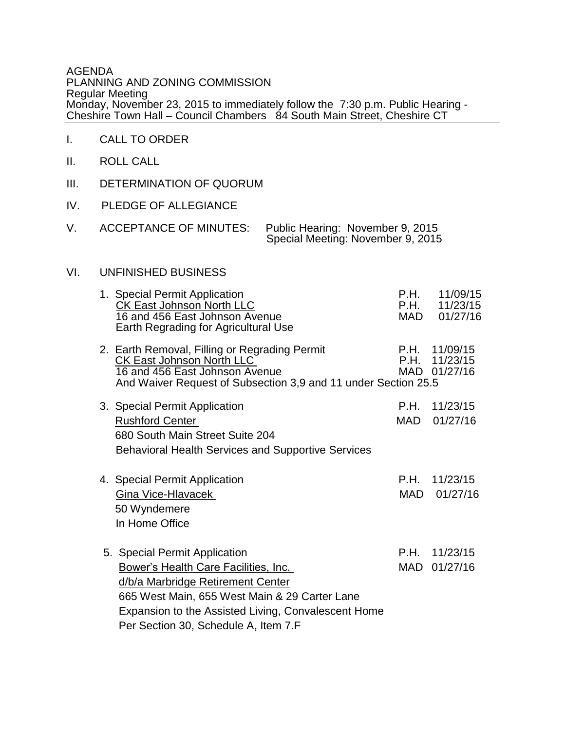AGENDA PLANNING AND ZONING COMMISSION Regular Meeting Monday, November 23, 2015 to immediately follow the 7:30 p.m. Public Hearing - Cheshire Town Hall – Council Chambers 84 South Main Street, Cheshire CT

- I. CALL TO ORDER
- II. ROLL CALL
- III. DETERMINATION OF QUORUM
- IV. PLEDGE OF ALLEGIANCE
- V. ACCEPTANCE OF MINUTES: Public Hearing: November 9, 2015 Special Meeting: November 9, 2015

### $VI.$ UNFINISHED BUSINESS

|  | 1. Special Permit Application<br><b>CK East Johnson North LLC</b><br>16 and 456 East Johnson Avenue<br>Earth Regrading for Agricultural Use                                                                                                                | P.H.<br>P.H.<br>MAD | 11/09/15<br>11/23/15<br>01/27/16     |
|--|------------------------------------------------------------------------------------------------------------------------------------------------------------------------------------------------------------------------------------------------------------|---------------------|--------------------------------------|
|  | 2. Earth Removal, Filling or Regrading Permit<br><b>CK East Johnson North LLC</b><br>16 and 456 East Johnson Avenue<br>And Waiver Request of Subsection 3,9 and 11 under Section 25.5                                                                      | P.H.<br>P.H.        | 11/09/15<br>11/23/15<br>MAD 01/27/16 |
|  | 3. Special Permit Application<br><b>Rushford Center</b><br>680 South Main Street Suite 204<br><b>Behavioral Health Services and Supportive Services</b>                                                                                                    | P.H.<br>MAD.        | 11/23/15<br>01/27/16                 |
|  | 4. Special Permit Application<br>Gina Vice-Hlavacek<br>50 Wyndemere<br>In Home Office                                                                                                                                                                      | P.H.<br>MAD         | 11/23/15<br>01/27/16                 |
|  | 5. Special Permit Application<br>Bower's Health Care Facilities, Inc.<br>d/b/a Marbridge Retirement Center<br>665 West Main, 655 West Main & 29 Carter Lane<br>Expansion to the Assisted Living, Convalescent Home<br>Per Section 30, Schedule A, Item 7.F | P.H.<br>MAD         | 11/23/15<br>01/27/16                 |